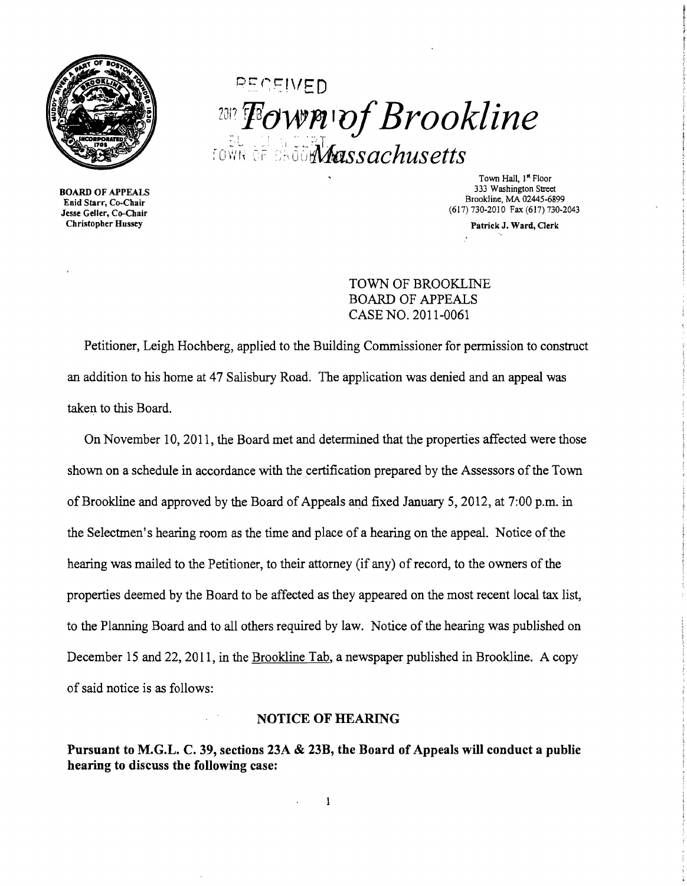

BOARD OF APPEALS Enid Starr, Co-Chair Jesse Geller, Co-Chair Christopher Hussey

**PECEIVED** 2012 Fown of Brookline town of shoo**Mass***achusetts* 

> Town Hall, I" Floor 333 Washington Street Brookline, MA 02445-6899 (617)730-2010 Fax (617) 730-2043

> > Patrick J. Ward, Clerk

TOWN OF BROOKLINE BOARD OF APPEALS CASE NO. 2011-0061

Petitioner, Leigh Hochberg, applied to the Building Commissioner for permission to construct an addition to his home at 47 Salisbury Road. The application was denied and an appeal was taken to this Board.

On November 10,2011, the Board met and detennined that the properties affected were those shown on a schedule in accordance with the certification prepared by the Assessors of the Town of Brookline and approved by the Board of Appeals and fixed January 5, 2012, at 7:00 p.m. in the Selectmen's hearing room as the time and place of a hearing on the appeal. Notice of the hearing was mailed to the Petitioner, to their attorney (if any) of record, to the owners of the properties deemed by the Board to be affected as they appeared on the most recent local tax list, to the Planning Board and to all others required by law. Notice of the hearing was published on December 15 and 22, 2011, in the Brookline Tab, a newspaper published in Brookline. A copy of said notice is as follows:

## NOTICE OF HEARING

Pursuant to M.G.L. C. 39, sections 23A & 23B, the Board of Appeals will conduct a public hearing to discuss the following case:

 $\mathbf{1}$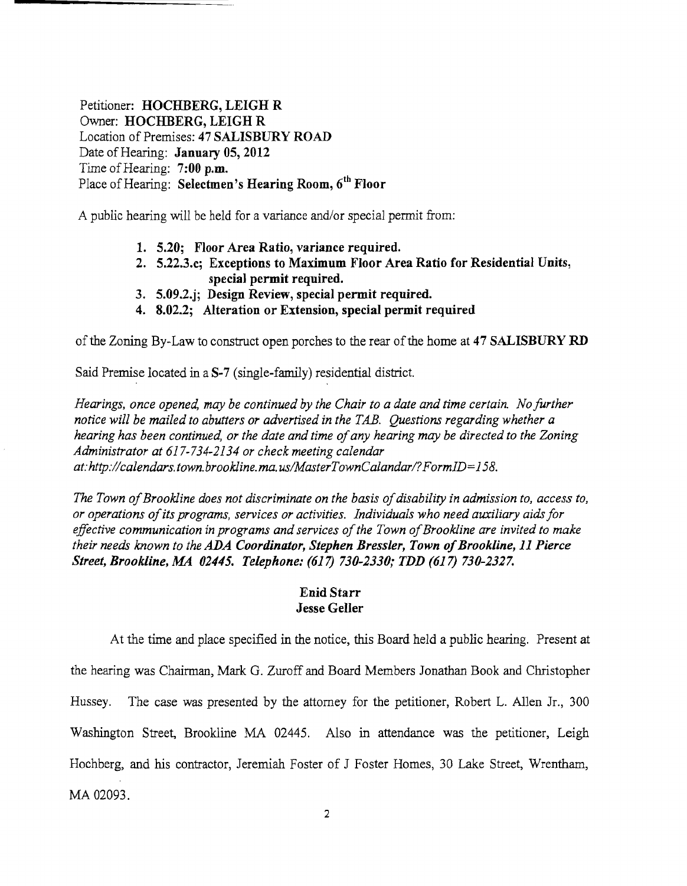Petitioner: HOCHBERG, LEIGH R Owner: HOCHBERG, LEIGH R Location of Premises: 47 SALISBURY ROAD Date of Hearing: January 05, 2012 Time of Hearing:  $7:00$  p.m. Place of Hearing: Selectmen's Hearing Room, 6<sup>th</sup> Floor

A public hearing will be held for a variance and/or special permit from:

- 1. 5.20; Floor Area Ratio, variance required.
- 2. 5.22.3.c; Exceptions to Maximum Floor Area Ratio for Residential Units, special permit required.
- 3. 5.09.2.j; Design Review, special permit required.
- 4. 8.02.2; Alteration or Extension, special permit required

of the Zoning By-Law to construct open porches to the rear of the home at 47 SALISBURY RD

Said Premise located in a  $S-7$  (single-family) residential district.

*Hearings, once opened, may be continued by the Chair to a date and time certain. No further notice will be mailed to abutters or advertised in the TAB. Questions regarding whether a hearing has been continued, or the date and time ofany hearing may be directed to the Zoning Administrator at* 617-734-2134 *or check meeting calendar at:http://calendars.town.brookline.ma.usIMasterTownCalandarl?FormID=158.* 

The Town of Brookline does not discriminate on the basis of disability in admission to, access to, *or operations ofits programs, services or activities. Individuals who need auxiliary aids for*  effective communication in programs and services of the Town of Brookline are invited to make *their needs known to the ADA Coordinator, Stephen Bressler, Town of Brookline, 11 Pierce Street, Brookline, MA 02445. Telephone:* (617) *730-2330; TDD* (617) *730-2327.* 

## Enid Starr Jesse Geller

At the time and place specified in the notice, this Board held a public hearing. Present at the hearing was Chairman, Mark G. Zuroff and Board Members Jonathan Book and Christopher Hussey. The case was presented by the attorney for the petitioner, Robert L. Allen Jr., 300 Washington Street, Brookline MA 02445. Also in attendance was the petitioner, Leigh Hochberg, and his contractor, Jeremiah Foster of J Foster Homes, 30 Lake Street, Wrentham, MA 02093.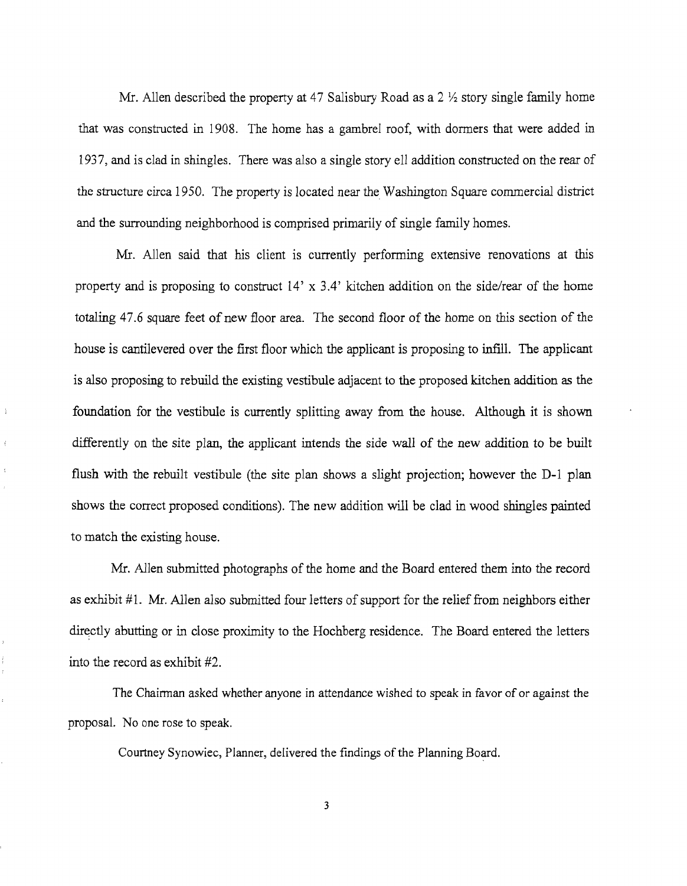Mr. Allen described the property at 47 Salisbury Road as a  $2\frac{1}{2}$  story single family home that was constructed in 1908. The home has a gambrel roof, with dormers that were added in 1937, and is clad in shingles. There was also a single story ell addition constructed on the rear of the structure circa 1950. The property is located near the Washington Square commercial district and the surrounding neighborhood is comprised primarily of single family homes.

Mr. Allen said that his client is currently performing extensive renovations at this property and is proposing to construct 14' x 3.4' kitchen addition on the side/rear of the home totaling 47.6 square feet of new floor area. The second floor of the home on this section of the house is cantilevered over the first floor which the applicant is proposing to infIll. The applicant is also proposing to rebuild the existing vestibule adjacent to the proposed kitchen addition as the foundation for the vestibule is currently splitting away from the house. Although it is shown differently on the site plan, the applicant intends the side wall of the new addition to be built flush with the rebuilt vestibule (the site plan shows a slight projection; however the D-1 plan shows the correct proposed conditions). The new addition will be clad in wood shingles painted to match the existing house.

÷

Mr. Allen submitted photographs of the home and the Board entered them into the record as exhibit #1. Mr. Allen also submitted four letters of support for the relief from neighbors either directly abutting or in close proximity to the Hochberg residence. The Board entered the letters into the record as exhibit #2.

The Chairman asked whether anyone in attendance wished to speak in favor of or against the proposal. No one rose to speak.

Courtney Synowiec, Planner, delivered the findings of the Planning Board.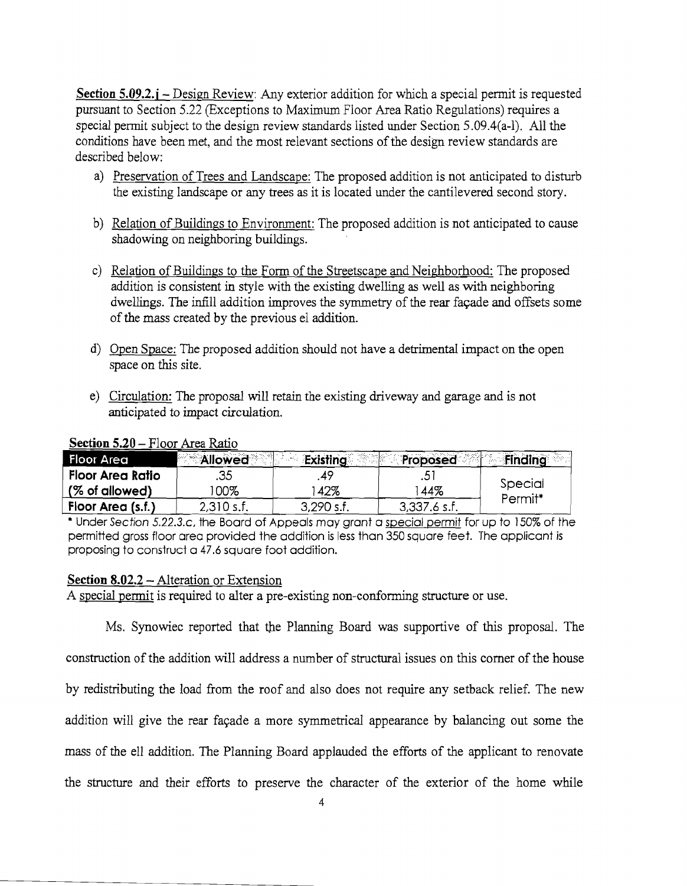**Section 5.09.2. j** – Design Review: Any exterior addition for which a special permit is requested pursuant to Section 5.22 (Exceptions to Maximum Floor Area Ratio Regulations) requires a special pennit subject to the design review standards listed under Section 5.09.4(a-I). All the conditions have been met, and the most relevant sections of the design review standards are described below:

- a) Preservation of Trees and Landscape: The proposed addition is not anticipated to disturb the existing landscape or any trees as it is located under the cantilevered second story.
- b) Relation of Buildings to Environment: The proposed addition is not anticipated to cause shadowing on neighboring buildings.
- c) Relation of Buildings to the Form of the Streetscape and Neighborhood: The proposed addition is consistent in style with the existing dwelling as well as with neighboring dwellings. The infill addition improves the symmetry of the rear façade and offsets some of the mass created by the previous el addition.
- d) Open Space: The proposed addition should not have a detrimental impact on the open space on this site.
- e) Circulation: The proposal will retain the existing driveway and garage and is not anticipated to impact circulation.

| <b>Floor Area</b>  | <b>Allowed</b> | Existing     | Proposed       | <b>Finding</b> |
|--------------------|----------------|--------------|----------------|----------------|
| . Floor Area Ratio | .35            | 47           | ت.             | Special        |
| (% of allowed)     | 00%            | 42%          | 44%            | Permit*        |
| Floor Area (s.f.)  | $2,310$ s.f.   | $3,290$ s.f. | $3,337.6$ s.f. |                |

## **Section 5.20 – Floor Area Ratio**

\* Under Section 5.22.3.c, the Board of Appeals may grant a special permit for up to 150% of the permitted gross floor area provided the addition is less than 350 square feet. The applicant is proposing to construct a 47.6 square foot addition.

## **Section 8.02.2** - Alteration or Extension

A special permit is required to alter a pre-existing non-conforming structure or use.

Ms. Synowiec reported that the Planning Board was supportive of this proposal. The construction of the addition will address a number of structural issues on this comer of the house by redistributing the load from the roof and also does not require any setback relief. The new addition will give the rear facade a more symmetrical appearance by balancing out some the mass of the ell addition. The Planning Board applauded the efforts of the applicant to renovate the structure and their efforts to preserve the character of the exterior of the home while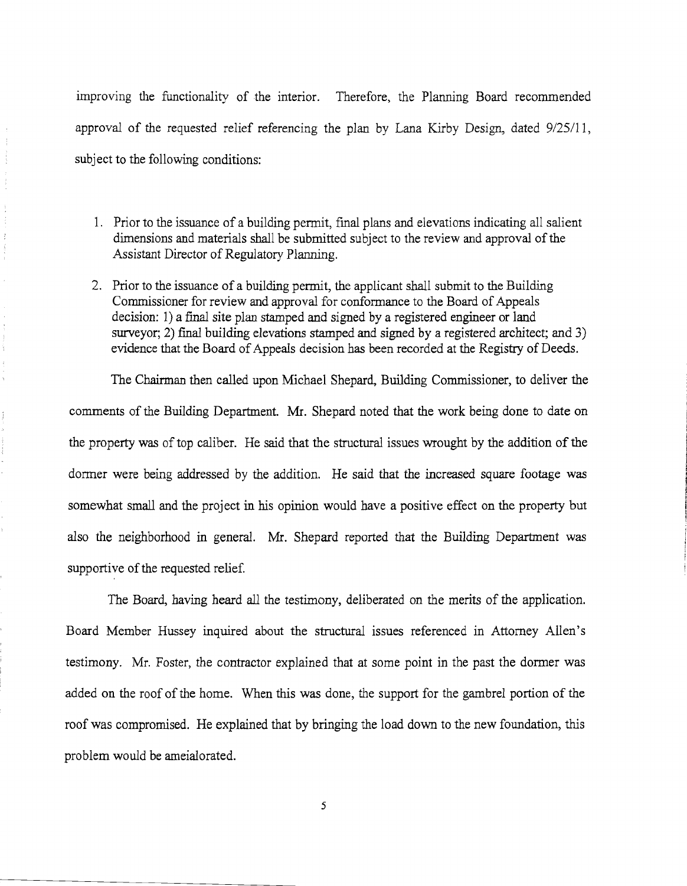improving the functionality of the interior. Therefore, the Planning Board recommended approval of the requested relief referencing the plan by Lana Kirby Design, dated 9/25/11, subject to the following conditions:

 $\frac{1}{2} \left( \begin{array}{cc} 1 & 0 & 0 \\ 0 & 1 & 0 \\ 0 & 0 & 0 \\ 0 & 0 & 0 \\ 0 & 0 & 0 \\ 0 & 0 & 0 \\ 0 & 0 & 0 \\ 0 & 0 & 0 \\ 0 & 0 & 0 & 0 \\ 0 & 0 & 0 & 0 \\ 0 & 0 & 0 & 0 \\ 0 & 0 & 0 & 0 & 0 \\ 0 & 0 & 0 & 0 & 0 \\ 0 & 0 & 0 & 0 & 0 \\ 0 & 0 & 0 & 0 & 0 & 0 \\ 0 & 0 & 0 & 0 & 0 & 0 \\ 0 & 0 & 0 & 0 & 0$ 

 $\label{eq:1} \begin{array}{ll} \text{d} \sigma \mathcal{L}^{\prime} & \text{for} \sigma \mathcal{L}^{\prime} \end{array} \; ,$ 

 $\frac{1}{\ell}$ 

- 1. Prior to the issuance of a building permit, final plans and elevations indicating all salient dimensions and materials shall be submitted subject to the review and approval of the Assistant Director of Regulatory Planning.
- 2. Prior to the issuance of a building permit, the applicant shall submit to the Building Commissioner for review and approval for conformance to the Board of Appeals decision: 1) a final site plan stamped and signed by a registered engineer or land surveyor; 2) final building elevations stamped and signed by a registered architect; and 3) evidence that the Board of Appeals decision has been recorded at the Registry of Deeds.

The Chairman then called upon Michael Shepard, Building Commissioner, to deliver the comments of the Building Department. Mr. Shepard noted that the work being done to date on the property was of top caliber. He said that the structural issues wrought by the addition of the dormer were being addressed by the addition. He said that the increased square footage was somewhat small and the project in his opinion would have a positive effect on the property but also the neighborhood in general. Mr. Shepard reported that the Building Department was supportive of the requested relief.

The Board, having heard all the testimony, deliberated on the merits of the application. Board Member Hussey inquired about the structural issues referenced in Attorney Allen's testimony. Mr. Foster, the contractor explained that at some point in the past the donner was added on the roof of the home. When this was done, the support for the gambrel portion of the roof was compromised. He explained that by bringing the load down to the new foundation, this problem would be ameialorated.

5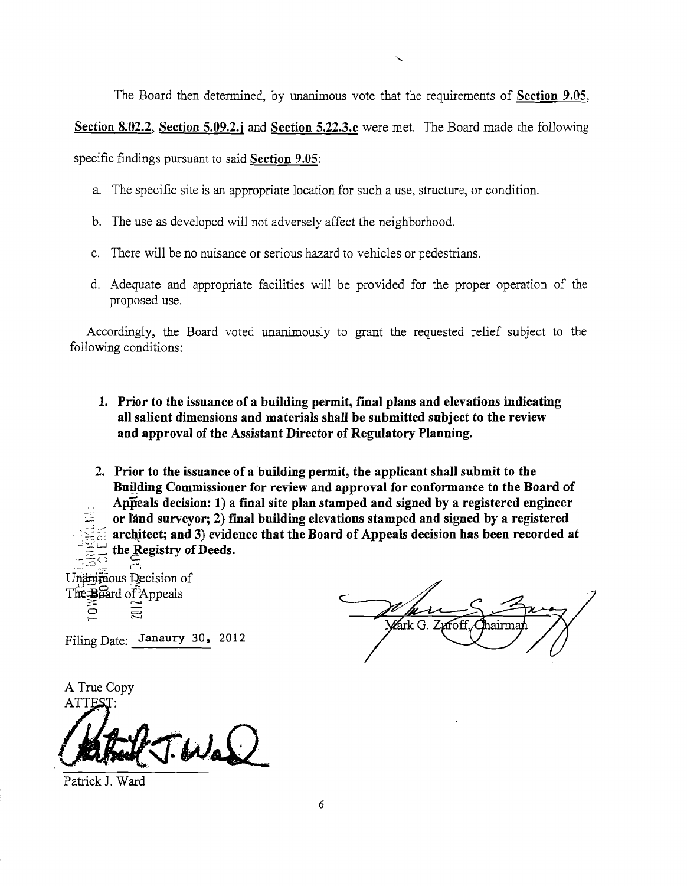The Board then determined, by unanimous vote that the requirements of Section 9.05,

Section 8.02.2, Section 5.09.2.j and Section 5.22.3.c were met. The Board made the following

specific findings pursuant to said Section 9.05:

- a. The specific site is an appropriate location for such a use, structure, or condition.
- b. The use as developed will not adversely affect the neighborhood.
- c. There will be no nuisance or serious hazard to vehicles or pedestrians.
- d. Adequate and appropriate facilities will be provided for the proper operation of the proposed use.

Accordingly, the Board voted unanimously to grant the requested relief subject to the following conditions:

1. Prior to the issuance of a building permit, final plans and elevations indicating all salient dimensions and materials shall be submitted subject to the review and approval of the Assistant Director of Regulatory Planning.

2. Prior to the issuance of a building permit, the applicant shall submit to the Building Commissioner for review and approval for conformance to the Board of Appeals decision: 1) a final site plan stamped and signed by a registered engineer or land surveyor; 2) final building elevations stamped and signed by a registered architect; and 3) evidence that the Board of Appeals decision has been recorded at the Registry of Deeds. ....... : \_,~c --=- j-, ....

Unanimous Decision of The:Board of Appeals  $\tilde{\circ}$ ē

Mark G. Zuroff, hairma

Filing Date: Janaury 30, 2012

A True Copy ATTES

Wal

Patrick 1. Ward